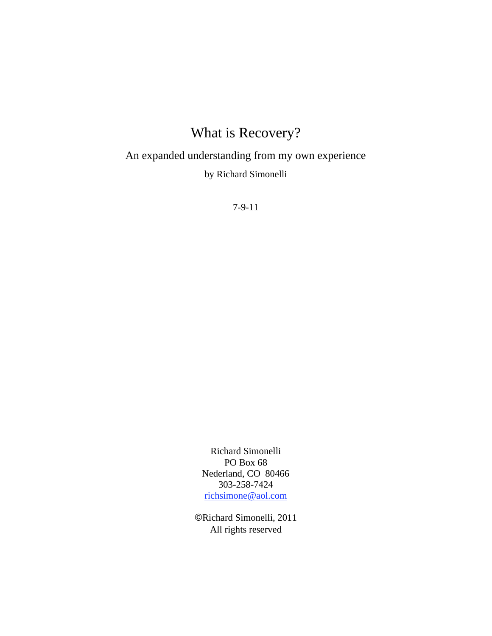# What is Recovery?

An expanded understanding from my own experience

by Richard Simonelli

7-9-11

Richard Simonelli PO Box 68 Nederland, CO 80466 303-258-7424 richsimone@aol.com

Richard Simonelli, 2011 All rights reserved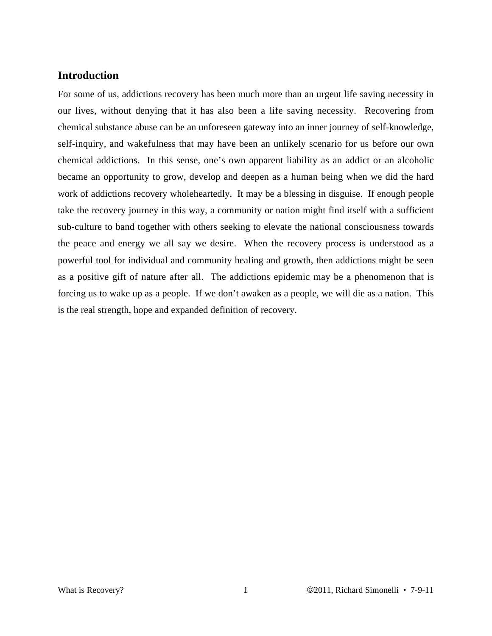## **Introduction**

For some of us, addictions recovery has been much more than an urgent life saving necessity in our lives, without denying that it has also been a life saving necessity. Recovering from chemical substance abuse can be an unforeseen gateway into an inner journey of self-knowledge, self-inquiry, and wakefulness that may have been an unlikely scenario for us before our own chemical addictions. In this sense, one's own apparent liability as an addict or an alcoholic became an opportunity to grow, develop and deepen as a human being when we did the hard work of addictions recovery wholeheartedly. It may be a blessing in disguise. If enough people take the recovery journey in this way, a community or nation might find itself with a sufficient sub-culture to band together with others seeking to elevate the national consciousness towards the peace and energy we all say we desire. When the recovery process is understood as a powerful tool for individual and community healing and growth, then addictions might be seen as a positive gift of nature after all. The addictions epidemic may be a phenomenon that is forcing us to wake up as a people. If we don't awaken as a people, we will die as a nation. This is the real strength, hope and expanded definition of recovery.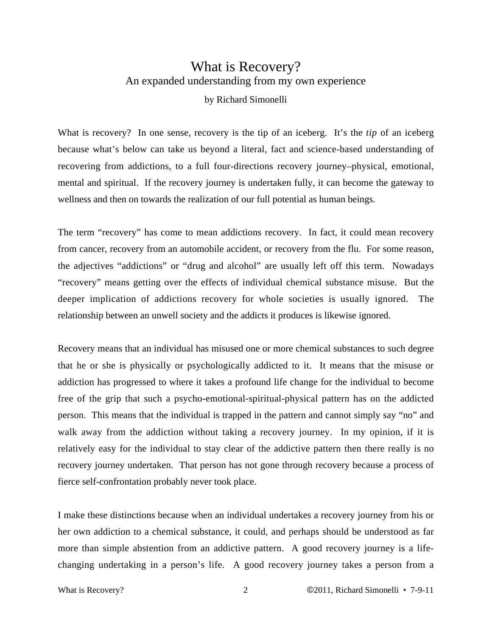## What is Recovery? An expanded understanding from my own experience

### by Richard Simonelli

What is recovery? In one sense, recovery is the tip of an iceberg. It's the *tip* of an iceberg because what's below can take us beyond a literal, fact and science-based understanding of recovering from addictions, to a full four-directions recovery journey–physical, emotional, mental and spiritual. If the recovery journey is undertaken fully, it can become the gateway to wellness and then on towards the realization of our full potential as human beings.

The term "recovery" has come to mean addictions recovery. In fact, it could mean recovery from cancer, recovery from an automobile accident, or recovery from the flu. For some reason, the adjectives "addictions" or "drug and alcohol" are usually left off this term. Nowadays "recovery" means getting over the effects of individual chemical substance misuse. But the deeper implication of addictions recovery for whole societies is usually ignored. The relationship between an unwell society and the addicts it produces is likewise ignored.

Recovery means that an individual has misused one or more chemical substances to such degree that he or she is physically or psychologically addicted to it. It means that the misuse or addiction has progressed to where it takes a profound life change for the individual to become free of the grip that such a psycho-emotional-spiritual-physical pattern has on the addicted person. This means that the individual is trapped in the pattern and cannot simply say "no" and walk away from the addiction without taking a recovery journey. In my opinion, if it is relatively easy for the individual to stay clear of the addictive pattern then there really is no recovery journey undertaken. That person has not gone through recovery because a process of fierce self-confrontation probably never took place.

I make these distinctions because when an individual undertakes a recovery journey from his or her own addiction to a chemical substance, it could, and perhaps should be understood as far more than simple abstention from an addictive pattern. A good recovery journey is a lifechanging undertaking in a person's life. A good recovery journey takes a person from a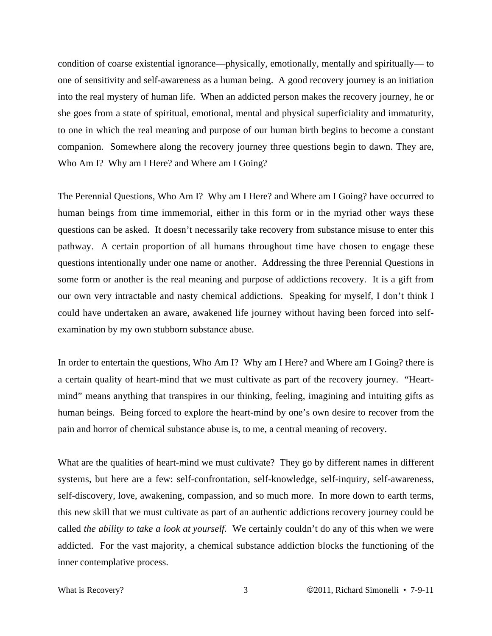condition of coarse existential ignorance––physically, emotionally, mentally and spiritually–– to one of sensitivity and self-awareness as a human being. A good recovery journey is an initiation into the real mystery of human life. When an addicted person makes the recovery journey, he or she goes from a state of spiritual, emotional, mental and physical superficiality and immaturity, to one in which the real meaning and purpose of our human birth begins to become a constant companion. Somewhere along the recovery journey three questions begin to dawn. They are, Who Am I? Why am I Here? and Where am I Going?

The Perennial Questions, Who Am I? Why am I Here? and Where am I Going? have occurred to human beings from time immemorial, either in this form or in the myriad other ways these questions can be asked. It doesn't necessarily take recovery from substance misuse to enter this pathway. A certain proportion of all humans throughout time have chosen to engage these questions intentionally under one name or another. Addressing the three Perennial Questions in some form or another is the real meaning and purpose of addictions recovery. It is a gift from our own very intractable and nasty chemical addictions. Speaking for myself, I don't think I could have undertaken an aware, awakened life journey without having been forced into selfexamination by my own stubborn substance abuse.

In order to entertain the questions, Who Am I? Why am I Here? and Where am I Going? there is a certain quality of heart-mind that we must cultivate as part of the recovery journey. "Heartmind" means anything that transpires in our thinking, feeling, imagining and intuiting gifts as human beings. Being forced to explore the heart-mind by one's own desire to recover from the pain and horror of chemical substance abuse is, to me, a central meaning of recovery.

What are the qualities of heart-mind we must cultivate? They go by different names in different systems, but here are a few: self-confrontation, self-knowledge, self-inquiry, self-awareness, self-discovery, love, awakening, compassion, and so much more. In more down to earth terms, this new skill that we must cultivate as part of an authentic addictions recovery journey could be called *the ability to take a look at yourself.* We certainly couldn't do any of this when we were addicted. For the vast majority, a chemical substance addiction blocks the functioning of the inner contemplative process.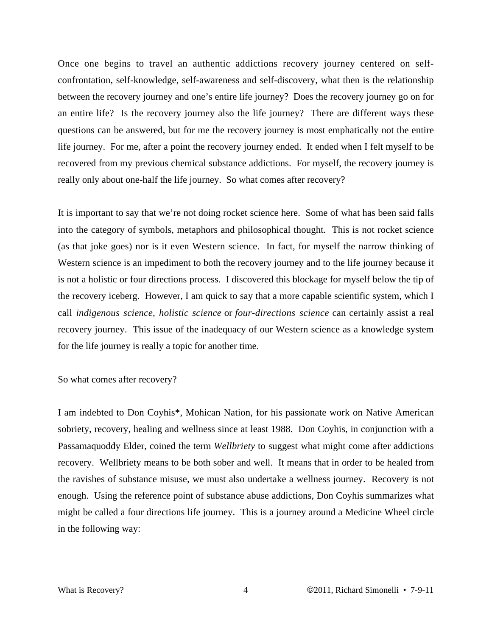Once one begins to travel an authentic addictions recovery journey centered on selfconfrontation, self-knowledge, self-awareness and self-discovery, what then is the relationship between the recovery journey and one's entire life journey? Does the recovery journey go on for an entire life? Is the recovery journey also the life journey? There are different ways these questions can be answered, but for me the recovery journey is most emphatically not the entire life journey. For me, after a point the recovery journey ended. It ended when I felt myself to be recovered from my previous chemical substance addictions. For myself, the recovery journey is really only about one-half the life journey. So what comes after recovery?

It is important to say that we're not doing rocket science here. Some of what has been said falls into the category of symbols, metaphors and philosophical thought. This is not rocket science (as that joke goes) nor is it even Western science. In fact, for myself the narrow thinking of Western science is an impediment to both the recovery journey and to the life journey because it is not a holistic or four directions process. I discovered this blockage for myself below the tip of the recovery iceberg. However, I am quick to say that a more capable scientific system, which I call *indigenous science, holistic science* or *four-directions science* can certainly assist a real recovery journey. This issue of the inadequacy of our Western science as a knowledge system for the life journey is really a topic for another time.

So what comes after recovery?

I am indebted to Don Coyhis\*, Mohican Nation, for his passionate work on Native American sobriety, recovery, healing and wellness since at least 1988. Don Coyhis, in conjunction with a Passamaquoddy Elder, coined the term *Wellbriety* to suggest what might come after addictions recovery. Wellbriety means to be both sober and well. It means that in order to be healed from the ravishes of substance misuse, we must also undertake a wellness journey. Recovery is not enough. Using the reference point of substance abuse addictions, Don Coyhis summarizes what might be called a four directions life journey. This is a journey around a Medicine Wheel circle in the following way: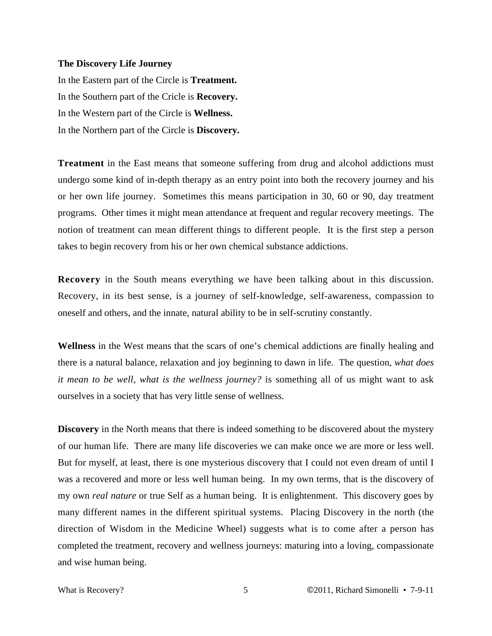#### **The Discovery Life Journey**

In the Eastern part of the Circle is **Treatment.** In the Southern part of the Cricle is **Recovery.** In the Western part of the Circle is **Wellness.** In the Northern part of the Circle is **Discovery.**

**Treatment** in the East means that someone suffering from drug and alcohol addictions must undergo some kind of in-depth therapy as an entry point into both the recovery journey and his or her own life journey. Sometimes this means participation in 30, 60 or 90, day treatment programs. Other times it might mean attendance at frequent and regular recovery meetings. The notion of treatment can mean different things to different people. It is the first step a person takes to begin recovery from his or her own chemical substance addictions.

**Recovery** in the South means everything we have been talking about in this discussion. Recovery, in its best sense, is a journey of self-knowledge, self-awareness, compassion to oneself and others, and the innate, natural ability to be in self-scrutiny constantly.

**Wellness** in the West means that the scars of one's chemical addictions are finally healing and there is a natural balance, relaxation and joy beginning to dawn in life. The question, *what does it mean to be well, what is the wellness journey?* is something all of us might want to ask ourselves in a society that has very little sense of wellness.

**Discovery** in the North means that there is indeed something to be discovered about the mystery of our human life. There are many life discoveries we can make once we are more or less well. But for myself, at least, there is one mysterious discovery that I could not even dream of until I was a recovered and more or less well human being. In my own terms, that is the discovery of my own *real nature* or true Self as a human being. It is enlightenment. This discovery goes by many different names in the different spiritual systems. Placing Discovery in the north (the direction of Wisdom in the Medicine Wheel) suggests what is to come after a person has completed the treatment, recovery and wellness journeys: maturing into a loving, compassionate and wise human being.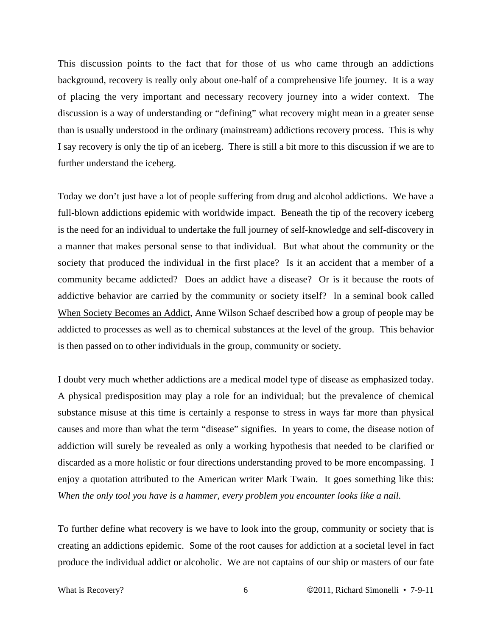This discussion points to the fact that for those of us who came through an addictions background, recovery is really only about one-half of a comprehensive life journey. It is a way of placing the very important and necessary recovery journey into a wider context. The discussion is a way of understanding or "defining" what recovery might mean in a greater sense than is usually understood in the ordinary (mainstream) addictions recovery process. This is why I say recovery is only the tip of an iceberg. There is still a bit more to this discussion if we are to further understand the iceberg.

Today we don't just have a lot of people suffering from drug and alcohol addictions. We have a full-blown addictions epidemic with worldwide impact. Beneath the tip of the recovery iceberg is the need for an individual to undertake the full journey of self-knowledge and self-discovery in a manner that makes personal sense to that individual. But what about the community or the society that produced the individual in the first place? Is it an accident that a member of a community became addicted? Does an addict have a disease? Or is it because the roots of addictive behavior are carried by the community or society itself? In a seminal book called When Society Becomes an Addict, Anne Wilson Schaef described how a group of people may be addicted to processes as well as to chemical substances at the level of the group. This behavior is then passed on to other individuals in the group, community or society.

I doubt very much whether addictions are a medical model type of disease as emphasized today. A physical predisposition may play a role for an individual; but the prevalence of chemical substance misuse at this time is certainly a response to stress in ways far more than physical causes and more than what the term "disease" signifies. In years to come, the disease notion of addiction will surely be revealed as only a working hypothesis that needed to be clarified or discarded as a more holistic or four directions understanding proved to be more encompassing. I enjoy a quotation attributed to the American writer Mark Twain. It goes something like this: *When the only tool you have is a hammer, every problem you encounter looks like a nail.*

To further define what recovery is we have to look into the group, community or society that is creating an addictions epidemic. Some of the root causes for addiction at a societal level in fact produce the individual addict or alcoholic. We are not captains of our ship or masters of our fate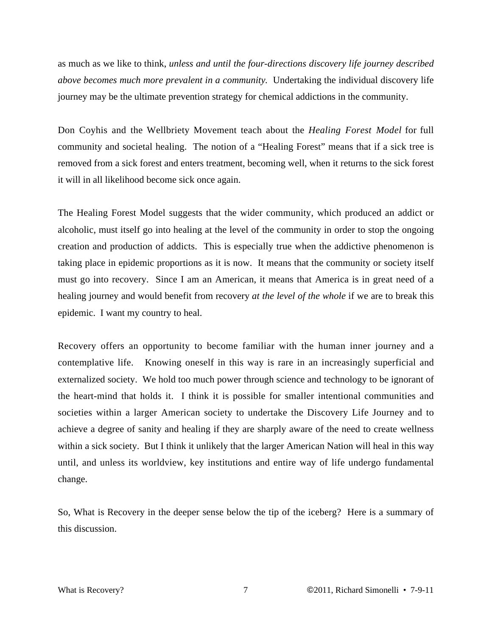as much as we like to think, *unless and until the four-directions discovery life journey described above becomes much more prevalent in a community.* Undertaking the individual discovery life journey may be the ultimate prevention strategy for chemical addictions in the community.

Don Coyhis and the Wellbriety Movement teach about the *Healing Forest Model* for full community and societal healing. The notion of a "Healing Forest" means that if a sick tree is removed from a sick forest and enters treatment, becoming well, when it returns to the sick forest it will in all likelihood become sick once again.

The Healing Forest Model suggests that the wider community, which produced an addict or alcoholic, must itself go into healing at the level of the community in order to stop the ongoing creation and production of addicts. This is especially true when the addictive phenomenon is taking place in epidemic proportions as it is now. It means that the community or society itself must go into recovery. Since I am an American, it means that America is in great need of a healing journey and would benefit from recovery *at the level of the whole* if we are to break this epidemic. I want my country to heal.

Recovery offers an opportunity to become familiar with the human inner journey and a contemplative life. Knowing oneself in this way is rare in an increasingly superficial and externalized society. We hold too much power through science and technology to be ignorant of the heart-mind that holds it. I think it is possible for smaller intentional communities and societies within a larger American society to undertake the Discovery Life Journey and to achieve a degree of sanity and healing if they are sharply aware of the need to create wellness within a sick society. But I think it unlikely that the larger American Nation will heal in this way until, and unless its worldview, key institutions and entire way of life undergo fundamental change.

So, What is Recovery in the deeper sense below the tip of the iceberg? Here is a summary of this discussion.